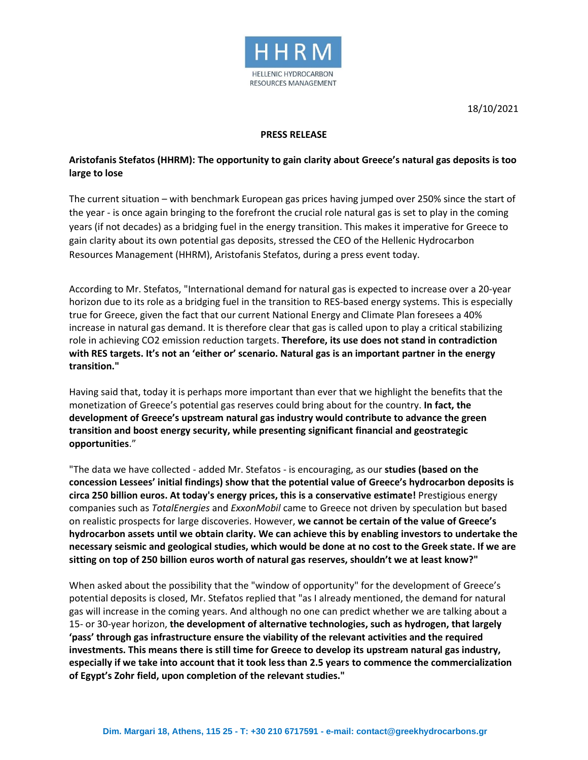

18/10/2021

## **PRESS RELEASE**

## **Aristofanis Stefatos (HHRM): The opportunity to gain clarity about Greece's natural gas deposits is too large to lose**

The current situation – with benchmark European gas prices having jumped over 250% since the start of the year - is once again bringing to the forefront the crucial role natural gas is set to play in the coming years (if not decades) as a bridging fuel in the energy transition. This makes it imperative for Greece to gain clarity about its own potential gas deposits, stressed the CEO of the Hellenic Hydrocarbon Resources Management (HHRM), Aristofanis Stefatos, during a press event today.

According to Mr. Stefatos, "International demand for natural gas is expected to increase over a 20-year horizon due to its role as a bridging fuel in the transition to RES-based energy systems. This is especially true for Greece, given the fact that our current National Energy and Climate Plan foresees a 40% increase in natural gas demand. It is therefore clear that gas is called upon to play a critical stabilizing role in achieving CO2 emission reduction targets. **Therefore, its use does not stand in contradiction with RES targets. It's not an 'either or' scenario. Natural gas is an important partner in the energy transition."**

Having said that, today it is perhaps more important than ever that we highlight the benefits that the monetization of Greece's potential gas reserves could bring about for the country. **In fact, the development of Greece's upstream natural gas industry would contribute to advance the green transition and boost energy security, while presenting significant financial and geostrategic opportunities**."

"The data we have collected - added Mr. Stefatos - is encouraging, as our **studies (based on the concession Lessees' initial findings) show that the potential value of Greece's hydrocarbon deposits is circa 250 billion euros. At today's energy prices, this is a conservative estimate!** Prestigious energy companies such as *TotalEnergies* and *ExxonMobil* came to Greece not driven by speculation but based on realistic prospects for large discoveries. However, **we cannot be certain of the value of Greece's hydrocarbon assets until we obtain clarity. We can achieve this by enabling investors to undertake the necessary seismic and geological studies, which would be done at no cost to the Greek state. If we are sitting on top of 250 billion euros worth of natural gas reserves, shouldn't we at least know?"**

When asked about the possibility that the "window of opportunity" for the development of Greece's potential deposits is closed, Mr. Stefatos replied that "as I already mentioned, the demand for natural gas will increase in the coming years. And although no one can predict whether we are talking about a 15- or 30-year horizon, **the development of alternative technologies, such as hydrogen, that largely 'pass' through gas infrastructure ensure the viability of the relevant activities and the required investments. This means there is still time for Greece to develop its upstream natural gas industry, especially if we take into account that it took less than 2.5 years to commence the commercialization of Egypt's Zohr field, upon completion of the relevant studies."**